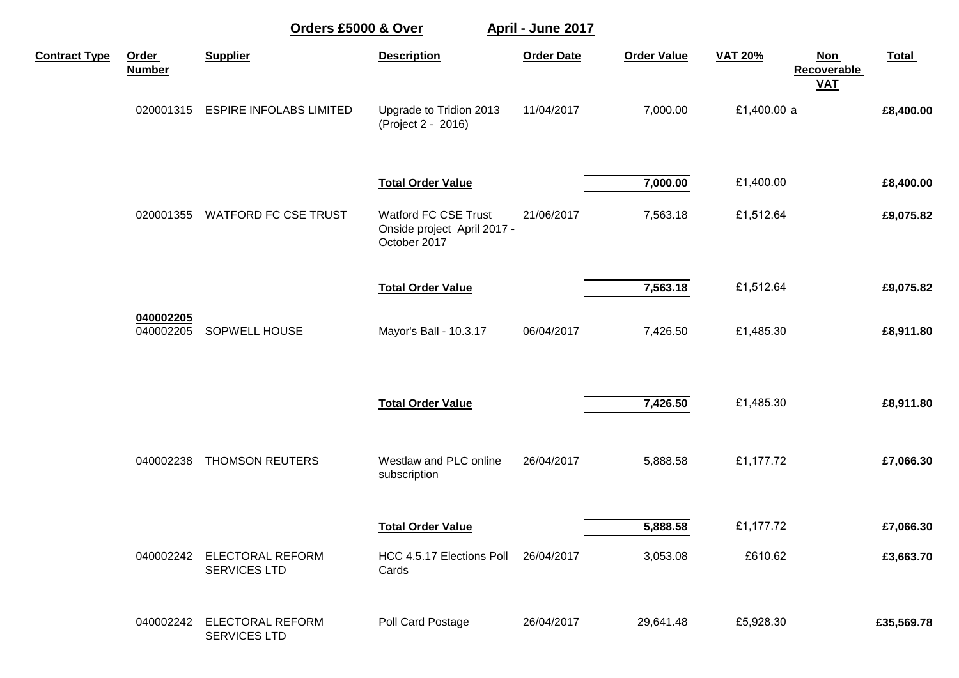|                      |                        | Orders £5000 & Over                            |                                                                     | April - June 2017 |                    |                |                                    |              |
|----------------------|------------------------|------------------------------------------------|---------------------------------------------------------------------|-------------------|--------------------|----------------|------------------------------------|--------------|
| <b>Contract Type</b> | Order<br><b>Number</b> | <b>Supplier</b>                                | <b>Description</b>                                                  | <b>Order Date</b> | <b>Order Value</b> | <b>VAT 20%</b> | <b>Non</b><br>Recoverable<br>$VAL$ | <b>Total</b> |
|                      | 020001315              | <b>ESPIRE INFOLABS LIMITED</b>                 | Upgrade to Tridion 2013<br>(Project 2 - 2016)                       | 11/04/2017        | 7,000.00           | £1,400.00 a    |                                    | £8,400.00    |
|                      |                        |                                                | <b>Total Order Value</b>                                            |                   | 7,000.00           | £1,400.00      |                                    | £8,400.00    |
|                      | 020001355              | <b>WATFORD FC CSE TRUST</b>                    | Watford FC CSE Trust<br>Onside project April 2017 -<br>October 2017 | 21/06/2017        | 7,563.18           | £1,512.64      |                                    | £9,075.82    |
|                      |                        |                                                | <b>Total Order Value</b>                                            |                   | 7,563.18           | £1,512.64      |                                    | £9,075.82    |
|                      | 040002205<br>040002205 | SOPWELL HOUSE                                  | Mayor's Ball - 10.3.17                                              | 06/04/2017        | 7,426.50           | £1,485.30      |                                    | £8,911.80    |
|                      |                        |                                                | <b>Total Order Value</b>                                            |                   | 7,426.50           | £1,485.30      |                                    | £8,911.80    |
|                      | 040002238              | THOMSON REUTERS                                | Westlaw and PLC online<br>subscription                              | 26/04/2017        | 5,888.58           | £1,177.72      |                                    | £7,066.30    |
|                      |                        |                                                | <b>Total Order Value</b>                                            |                   | 5,888.58           | £1,177.72      |                                    | £7,066.30    |
|                      | 040002242              | <b>ELECTORAL REFORM</b><br><b>SERVICES LTD</b> | HCC 4.5.17 Elections Poll<br>Cards                                  | 26/04/2017        | 3,053.08           | £610.62        |                                    | £3,663.70    |
|                      | 040002242              | ELECTORAL REFORM<br><b>SERVICES LTD</b>        | Poll Card Postage                                                   | 26/04/2017        | 29,641.48          | £5,928.30      |                                    | £35,569.78   |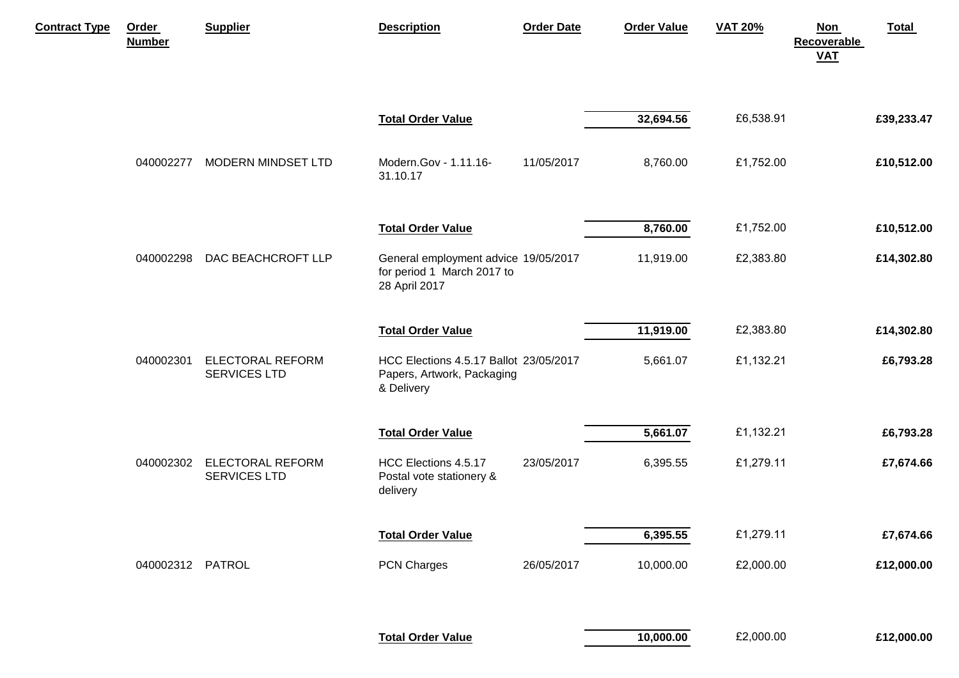| <b>Contract Type</b> | Order<br><b>Number</b> | <b>Supplier</b>                                | <b>Description</b>                                                                  | <b>Order Date</b> | <b>Order Value</b> | <b>VAT 20%</b> | Total<br><b>Non</b><br><b>Recoverable</b><br><b>VAT</b> |
|----------------------|------------------------|------------------------------------------------|-------------------------------------------------------------------------------------|-------------------|--------------------|----------------|---------------------------------------------------------|
|                      |                        |                                                | <b>Total Order Value</b>                                                            |                   | 32,694.56          | £6,538.91      | £39,233.47                                              |
|                      | 040002277              | <b>MODERN MINDSET LTD</b>                      | Modern.Gov - 1.11.16-<br>31.10.17                                                   | 11/05/2017        | 8,760.00           | £1,752.00      | £10,512.00                                              |
|                      |                        |                                                | <b>Total Order Value</b>                                                            |                   | 8,760.00           | £1,752.00      | £10,512.00                                              |
|                      | 040002298              | DAC BEACHCROFT LLP                             | General employment advice 19/05/2017<br>for period 1 March 2017 to<br>28 April 2017 |                   | 11,919.00          | £2,383.80      | £14,302.80                                              |
|                      |                        |                                                | <b>Total Order Value</b>                                                            |                   | 11,919.00          | £2,383.80      | £14,302.80                                              |
|                      | 040002301              | <b>ELECTORAL REFORM</b><br><b>SERVICES LTD</b> | HCC Elections 4.5.17 Ballot 23/05/2017<br>Papers, Artwork, Packaging<br>& Delivery  |                   | 5,661.07           | £1,132.21      | £6,793.28                                               |
|                      |                        |                                                | <b>Total Order Value</b>                                                            |                   | 5,661.07           | £1,132.21      | £6,793.28                                               |
|                      | 040002302              | <b>ELECTORAL REFORM</b><br><b>SERVICES LTD</b> | HCC Elections 4.5.17<br>Postal vote stationery &<br>delivery                        | 23/05/2017        | 6,395.55           | £1,279.11      | £7,674.66                                               |
|                      |                        |                                                | <b>Total Order Value</b>                                                            |                   | 6,395.55           | £1,279.11      | £7,674.66                                               |
|                      | 040002312 PATROL       |                                                | PCN Charges                                                                         | 26/05/2017        | 10,000.00          | £2,000.00      | £12,000.00                                              |
|                      |                        |                                                | <b>Total Order Value</b>                                                            |                   | 10,000.00          | £2,000.00      | £12,000.00                                              |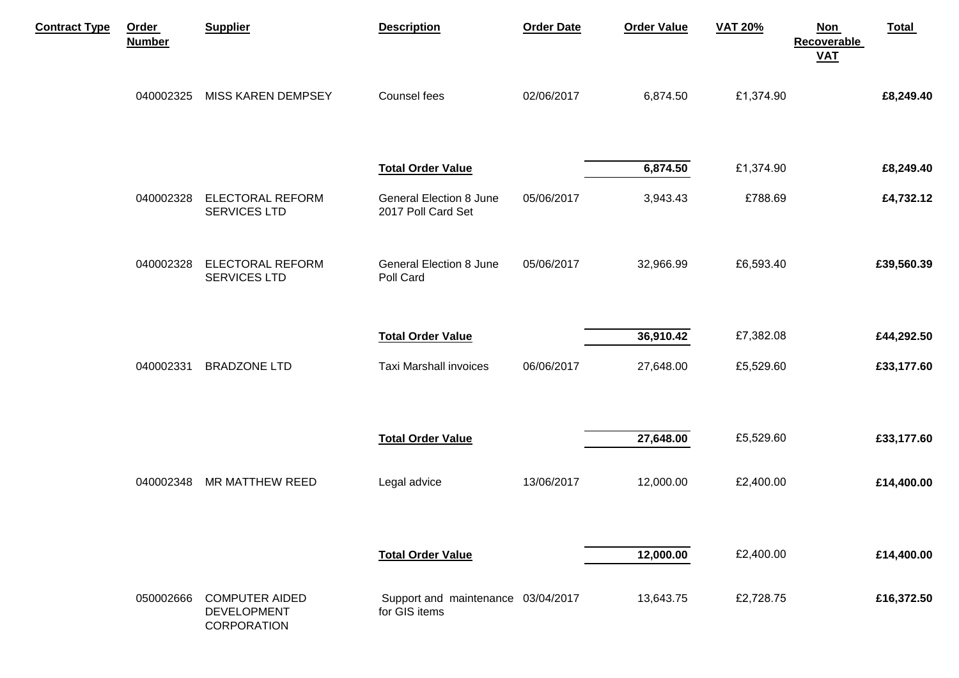| <b>Contract Type</b> | Order<br><b>Number</b> | <b>Supplier</b>                                                   | <b>Description</b>                                   | <b>Order Date</b> | <b>Order Value</b> | <b>VAT 20%</b> | Total<br><b>Non</b><br>Recoverable<br><b>VAT</b> |
|----------------------|------------------------|-------------------------------------------------------------------|------------------------------------------------------|-------------------|--------------------|----------------|--------------------------------------------------|
|                      | 040002325              | <b>MISS KAREN DEMPSEY</b>                                         | Counsel fees                                         | 02/06/2017        | 6,874.50           | £1,374.90      | £8,249.40                                        |
|                      |                        |                                                                   | <b>Total Order Value</b>                             |                   | 6,874.50           | £1,374.90      | £8,249.40                                        |
|                      | 040002328              | <b>ELECTORAL REFORM</b><br><b>SERVICES LTD</b>                    | <b>General Election 8 June</b><br>2017 Poll Card Set | 05/06/2017        | 3,943.43           | £788.69        | £4,732.12                                        |
|                      | 040002328              | <b>ELECTORAL REFORM</b><br>SERVICES LTD                           | <b>General Election 8 June</b><br>Poll Card          | 05/06/2017        | 32,966.99          | £6,593.40      | £39,560.39                                       |
|                      |                        |                                                                   | <b>Total Order Value</b>                             |                   | 36,910.42          | £7,382.08      | £44,292.50                                       |
|                      | 040002331              | <b>BRADZONE LTD</b>                                               | Taxi Marshall invoices                               | 06/06/2017        | 27,648.00          | £5,529.60      | £33,177.60                                       |
|                      |                        |                                                                   | <b>Total Order Value</b>                             |                   | 27,648.00          | £5,529.60      | £33,177.60                                       |
|                      |                        | 040002348 MR MATTHEW REED                                         | Legal advice                                         | 13/06/2017        | 12,000.00          | £2,400.00      | £14,400.00                                       |
|                      |                        |                                                                   | <b>Total Order Value</b>                             |                   | 12,000.00          | £2,400.00      | £14,400.00                                       |
|                      | 050002666              | <b>COMPUTER AIDED</b><br><b>DEVELOPMENT</b><br><b>CORPORATION</b> | Support and maintenance 03/04/2017<br>for GIS items  |                   | 13,643.75          | £2,728.75      | £16,372.50                                       |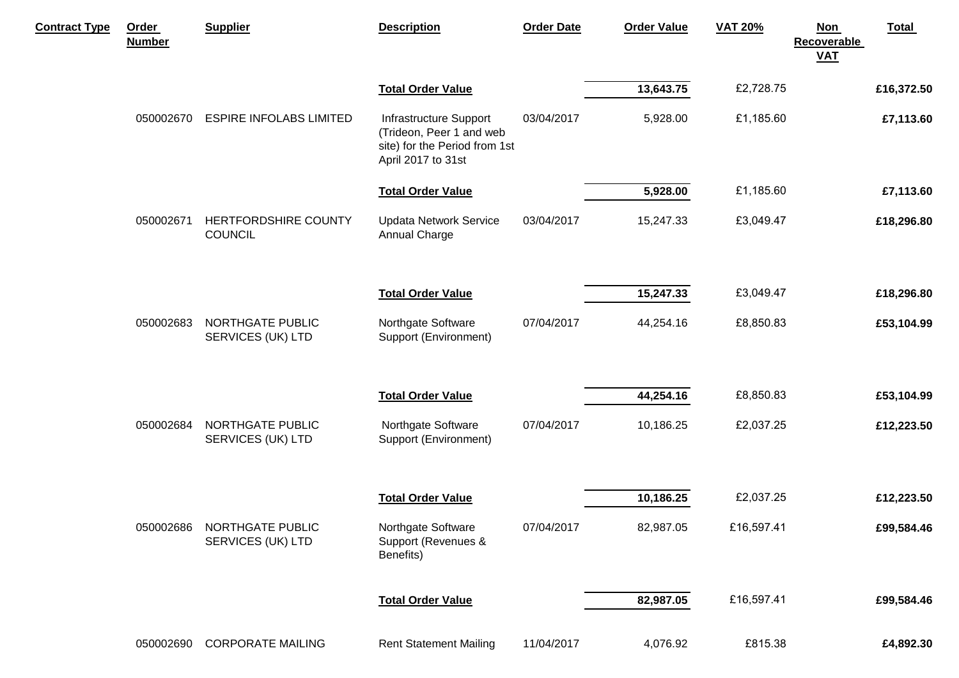| <b>Contract Type</b> | Order<br><b>Number</b> | <b>Supplier</b>                        | <b>Description</b>                                                                                        | <b>Order Date</b> | <b>Order Value</b> | <b>VAT 20%</b> | <b>Non</b><br>Recoverable<br>$VAL$ | <b>Total</b> |
|----------------------|------------------------|----------------------------------------|-----------------------------------------------------------------------------------------------------------|-------------------|--------------------|----------------|------------------------------------|--------------|
|                      |                        |                                        | <b>Total Order Value</b>                                                                                  |                   | 13,643.75          | £2,728.75      |                                    | £16,372.50   |
|                      | 050002670              | <b>ESPIRE INFOLABS LIMITED</b>         | Infrastructure Support<br>(Trideon, Peer 1 and web<br>site) for the Period from 1st<br>April 2017 to 31st | 03/04/2017        | 5,928.00           | £1,185.60      |                                    | £7,113.60    |
|                      |                        |                                        | <b>Total Order Value</b>                                                                                  |                   | 5,928.00           | £1,185.60      |                                    | £7,113.60    |
|                      | 050002671              | HERTFORDSHIRE COUNTY<br><b>COUNCIL</b> | <b>Updata Network Service</b><br>Annual Charge                                                            | 03/04/2017        | 15,247.33          | £3,049.47      |                                    | £18,296.80   |
|                      |                        |                                        | <b>Total Order Value</b>                                                                                  |                   | 15,247.33          | £3,049.47      |                                    | £18,296.80   |
|                      | 050002683              | NORTHGATE PUBLIC<br>SERVICES (UK) LTD  | Northgate Software<br>Support (Environment)                                                               | 07/04/2017        | 44,254.16          | £8,850.83      |                                    | £53,104.99   |
|                      |                        |                                        | <b>Total Order Value</b>                                                                                  |                   | 44,254.16          | £8,850.83      |                                    | £53,104.99   |
|                      | 050002684              | NORTHGATE PUBLIC<br>SERVICES (UK) LTD  | Northgate Software<br>Support (Environment)                                                               | 07/04/2017        | 10,186.25          | £2,037.25      |                                    | £12,223.50   |
|                      |                        |                                        |                                                                                                           |                   |                    |                |                                    |              |
|                      |                        |                                        | <b>Total Order Value</b>                                                                                  |                   | 10,186.25          | £2,037.25      |                                    | £12,223.50   |
|                      | 050002686              | NORTHGATE PUBLIC<br>SERVICES (UK) LTD  | Northgate Software<br>Support (Revenues &<br>Benefits)                                                    | 07/04/2017        | 82,987.05          | £16,597.41     |                                    | £99,584.46   |
|                      |                        |                                        | <b>Total Order Value</b>                                                                                  |                   | 82,987.05          | £16,597.41     |                                    | £99,584.46   |
|                      | 050002690              | <b>CORPORATE MAILING</b>               | <b>Rent Statement Mailing</b>                                                                             | 11/04/2017        | 4,076.92           | £815.38        |                                    | £4,892.30    |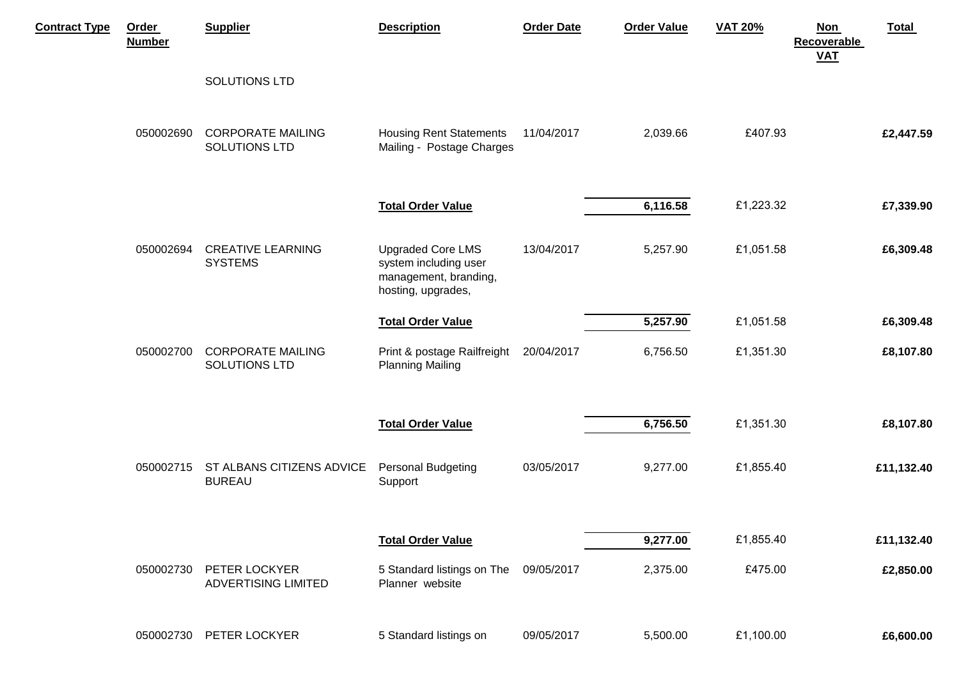| <b>Contract Type</b> | Order<br><b>Number</b> | <b>Supplier</b>                             | <b>Description</b>                                                                               | <b>Order Date</b> | <b>Order Value</b> | <b>VAT 20%</b> | Total<br><b>Non</b><br><b>Recoverable</b><br><b>VAT</b> |
|----------------------|------------------------|---------------------------------------------|--------------------------------------------------------------------------------------------------|-------------------|--------------------|----------------|---------------------------------------------------------|
|                      |                        | SOLUTIONS LTD                               |                                                                                                  |                   |                    |                |                                                         |
|                      | 050002690              | <b>CORPORATE MAILING</b><br>SOLUTIONS LTD   | <b>Housing Rent Statements</b><br>Mailing - Postage Charges                                      | 11/04/2017        | 2,039.66           | £407.93        | £2,447.59                                               |
|                      |                        |                                             | <b>Total Order Value</b>                                                                         |                   | 6,116.58           | £1,223.32      | £7,339.90                                               |
|                      | 050002694              | <b>CREATIVE LEARNING</b><br><b>SYSTEMS</b>  | <b>Upgraded Core LMS</b><br>system including user<br>management, branding,<br>hosting, upgrades, | 13/04/2017        | 5,257.90           | £1,051.58      | £6,309.48                                               |
|                      |                        |                                             | <b>Total Order Value</b>                                                                         |                   | 5,257.90           | £1,051.58      | £6,309.48                                               |
|                      | 050002700              | <b>CORPORATE MAILING</b><br>SOLUTIONS LTD   | Print & postage Railfreight<br><b>Planning Mailing</b>                                           | 20/04/2017        | 6,756.50           | £1,351.30      | £8,107.80                                               |
|                      |                        |                                             | <b>Total Order Value</b>                                                                         |                   | 6,756.50           | £1,351.30      | £8,107.80                                               |
|                      | 050002715              | ST ALBANS CITIZENS ADVICE<br><b>BUREAU</b>  | <b>Personal Budgeting</b><br>Support                                                             | 03/05/2017        | 9,277.00           | £1,855.40      | £11,132.40                                              |
|                      |                        |                                             | <b>Total Order Value</b>                                                                         |                   | 9,277.00           | £1,855.40      | £11,132.40                                              |
|                      | 050002730              | PETER LOCKYER<br><b>ADVERTISING LIMITED</b> | 5 Standard listings on The<br>Planner website                                                    | 09/05/2017        | 2,375.00           | £475.00        | £2,850.00                                               |
|                      | 050002730              | PETER LOCKYER                               | 5 Standard listings on                                                                           | 09/05/2017        | 5,500.00           | £1,100.00      | £6,600.00                                               |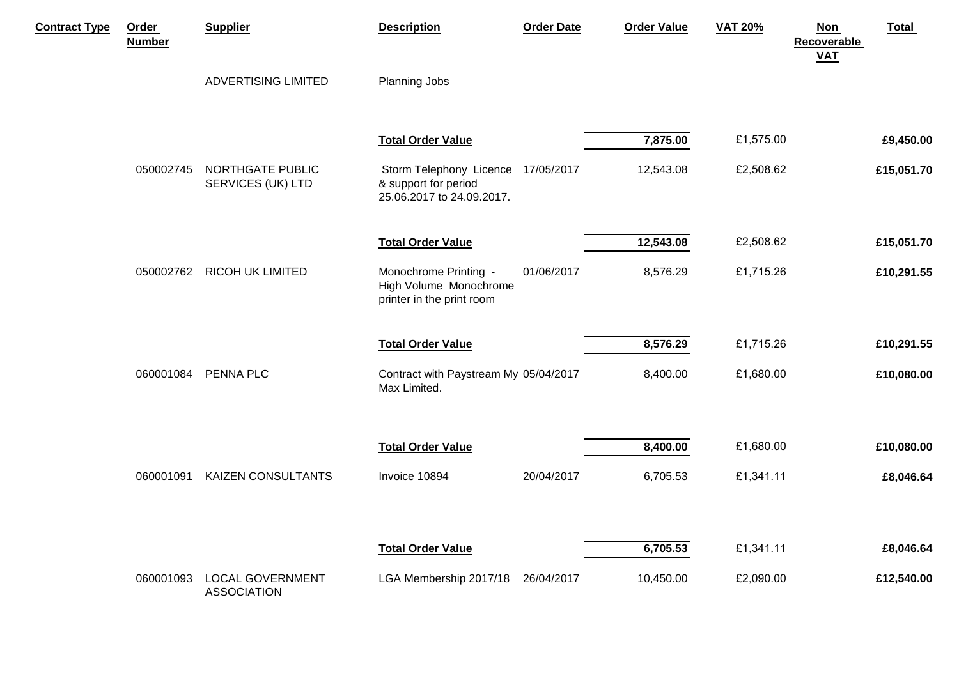| <b>Contract Type</b> | Order<br><b>Number</b> | <b>Supplier</b>                               | <b>Description</b>                                                                      | <b>Order Date</b> | <b>Order Value</b> | <b>VAT 20%</b> | <b>Non</b><br><b>Recoverable</b><br><b>VAT</b> | Total      |
|----------------------|------------------------|-----------------------------------------------|-----------------------------------------------------------------------------------------|-------------------|--------------------|----------------|------------------------------------------------|------------|
|                      |                        | ADVERTISING LIMITED                           | Planning Jobs                                                                           |                   |                    |                |                                                |            |
|                      |                        |                                               | <b>Total Order Value</b>                                                                |                   | 7,875.00           | £1,575.00      |                                                | £9,450.00  |
|                      | 050002745              | NORTHGATE PUBLIC<br>SERVICES (UK) LTD         | Storm Telephony Licence 17/05/2017<br>& support for period<br>25.06.2017 to 24.09.2017. |                   | 12,543.08          | £2,508.62      |                                                | £15,051.70 |
|                      |                        |                                               | <b>Total Order Value</b>                                                                |                   | 12,543.08          | £2,508.62      |                                                | £15,051.70 |
|                      | 050002762              | <b>RICOH UK LIMITED</b>                       | Monochrome Printing -<br>High Volume Monochrome<br>printer in the print room            | 01/06/2017        | 8,576.29           | £1,715.26      |                                                | £10,291.55 |
|                      |                        |                                               | <b>Total Order Value</b>                                                                |                   | 8,576.29           | £1,715.26      |                                                | £10,291.55 |
|                      | 060001084              | PENNA PLC                                     | Contract with Paystream My 05/04/2017<br>Max Limited.                                   |                   | 8,400.00           | £1,680.00      |                                                | £10,080.00 |
|                      |                        |                                               | <b>Total Order Value</b>                                                                |                   | 8,400.00           | £1,680.00      |                                                | £10,080.00 |
|                      | 060001091              | <b>KAIZEN CONSULTANTS</b>                     | Invoice 10894                                                                           | 20/04/2017        | 6,705.53           | £1,341.11      |                                                | £8,046.64  |
|                      |                        |                                               |                                                                                         |                   |                    |                |                                                |            |
|                      |                        |                                               | <b>Total Order Value</b>                                                                |                   | 6,705.53           | £1,341.11      |                                                | £8,046.64  |
|                      | 060001093              | <b>LOCAL GOVERNMENT</b><br><b>ASSOCIATION</b> | LGA Membership 2017/18                                                                  | 26/04/2017        | 10,450.00          | £2,090.00      |                                                | £12,540.00 |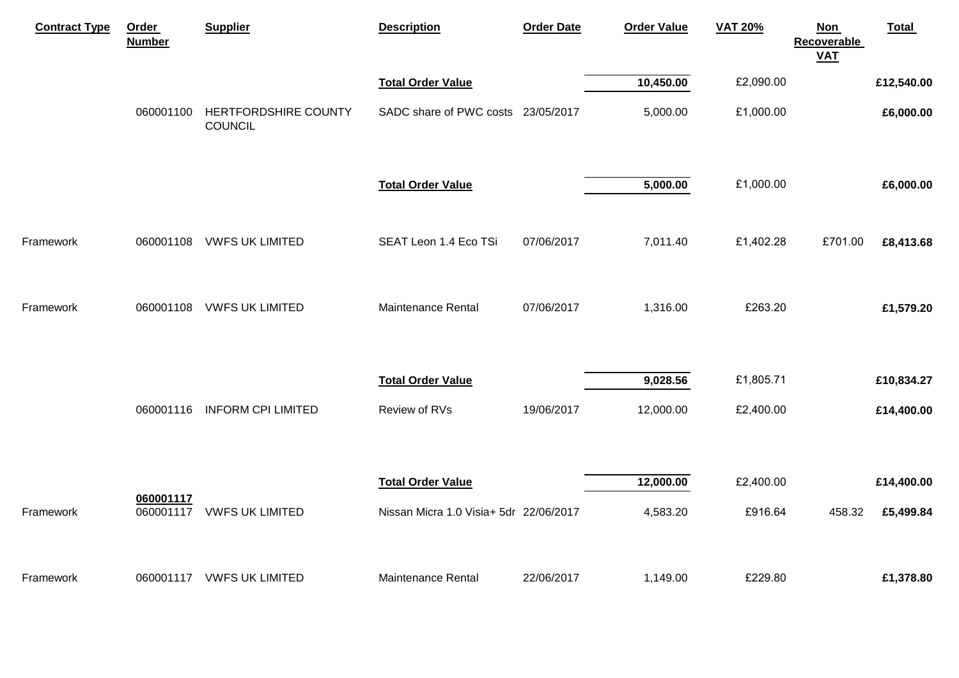| <b>Contract Type</b> | Order<br><b>Number</b> | <b>Supplier</b>                        | <b>Description</b>                     | <b>Order Date</b> | <b>Order Value</b> | <b>VAT 20%</b> | <b>Non</b><br><b>Recoverable</b><br><b>VAT</b> | <b>Total</b> |
|----------------------|------------------------|----------------------------------------|----------------------------------------|-------------------|--------------------|----------------|------------------------------------------------|--------------|
|                      |                        |                                        | <b>Total Order Value</b>               |                   | 10,450.00          | £2,090.00      |                                                | £12,540.00   |
|                      | 060001100              | HERTFORDSHIRE COUNTY<br><b>COUNCIL</b> | SADC share of PWC costs 23/05/2017     |                   | 5,000.00           | £1,000.00      |                                                | £6,000.00    |
|                      |                        |                                        | <b>Total Order Value</b>               |                   | 5,000.00           | £1,000.00      |                                                | £6,000.00    |
| Framework            | 060001108              | <b>VWFS UK LIMITED</b>                 | SEAT Leon 1.4 Eco TSi                  | 07/06/2017        | 7,011.40           | £1,402.28      | £701.00                                        | £8,413.68    |
| Framework            | 060001108              | <b>VWFS UK LIMITED</b>                 | Maintenance Rental                     | 07/06/2017        | 1,316.00           | £263.20        |                                                | £1,579.20    |
|                      |                        |                                        | <b>Total Order Value</b>               |                   | 9,028.56           | £1,805.71      |                                                | £10,834.27   |
|                      | 060001116              | <b>INFORM CPI LIMITED</b>              | Review of RVs                          | 19/06/2017        | 12,000.00          | £2,400.00      |                                                | £14,400.00   |
|                      |                        |                                        | <b>Total Order Value</b>               |                   | 12,000.00          | £2,400.00      |                                                | £14,400.00   |
| Framework            | 060001117<br>060001117 | <b>VWFS UK LIMITED</b>                 | Nissan Micra 1.0 Visia+ 5dr 22/06/2017 |                   | 4,583.20           | £916.64        | 458.32                                         | £5,499.84    |
| Framework            | 060001117              | <b>VWFS UK LIMITED</b>                 | Maintenance Rental                     | 22/06/2017        | 1,149.00           | £229.80        |                                                | £1,378.80    |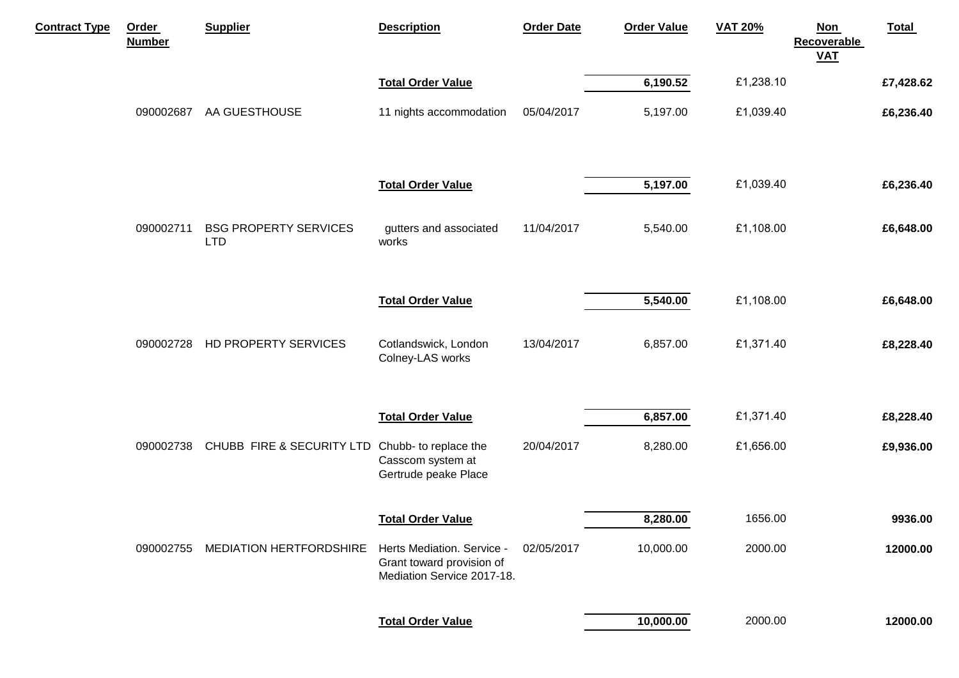| <b>Contract Type</b> | Order<br><b>Number</b> | <b>Supplier</b>                            | <b>Description</b>                                                                    | <b>Order Date</b> | <b>Order Value</b> | <b>VAT 20%</b> | <b>Total</b><br><b>Non</b><br><b>Recoverable</b><br><b>VAT</b> |
|----------------------|------------------------|--------------------------------------------|---------------------------------------------------------------------------------------|-------------------|--------------------|----------------|----------------------------------------------------------------|
|                      |                        |                                            | <b>Total Order Value</b>                                                              |                   | 6,190.52           | £1,238.10      | £7,428.62                                                      |
|                      | 090002687              | AA GUESTHOUSE                              | 11 nights accommodation                                                               | 05/04/2017        | 5,197.00           | £1,039.40      | £6,236.40                                                      |
|                      |                        |                                            | <b>Total Order Value</b>                                                              |                   | 5,197.00           | £1,039.40      | £6,236.40                                                      |
|                      | 090002711              | <b>BSG PROPERTY SERVICES</b><br><b>LTD</b> | gutters and associated<br>works                                                       | 11/04/2017        | 5,540.00           | £1,108.00      | £6,648.00                                                      |
|                      |                        |                                            | <b>Total Order Value</b>                                                              |                   | 5,540.00           | £1,108.00      | £6,648.00                                                      |
|                      | 090002728              | HD PROPERTY SERVICES                       | Cotlandswick, London<br>Colney-LAS works                                              | 13/04/2017        | 6,857.00           | £1,371.40      | £8,228.40                                                      |
|                      |                        |                                            | <b>Total Order Value</b>                                                              |                   | 6,857.00           | £1,371.40      | £8,228.40                                                      |
|                      | 090002738              | CHUBB FIRE & SECURITY LTD                  | Chubb- to replace the<br>Casscom system at<br>Gertrude peake Place                    | 20/04/2017        | 8,280.00           | £1,656.00      | £9,936.00                                                      |
|                      |                        |                                            | <b>Total Order Value</b>                                                              |                   | 8,280.00           | 1656.00        | 9936.00                                                        |
|                      | 090002755              | <b>MEDIATION HERTFORDSHIRE</b>             | Herts Mediation. Service -<br>Grant toward provision of<br>Mediation Service 2017-18. | 02/05/2017        | 10,000.00          | 2000.00        | 12000.00                                                       |
|                      |                        |                                            | <b>Total Order Value</b>                                                              |                   | 10,000.00          | 2000.00        | 12000.00                                                       |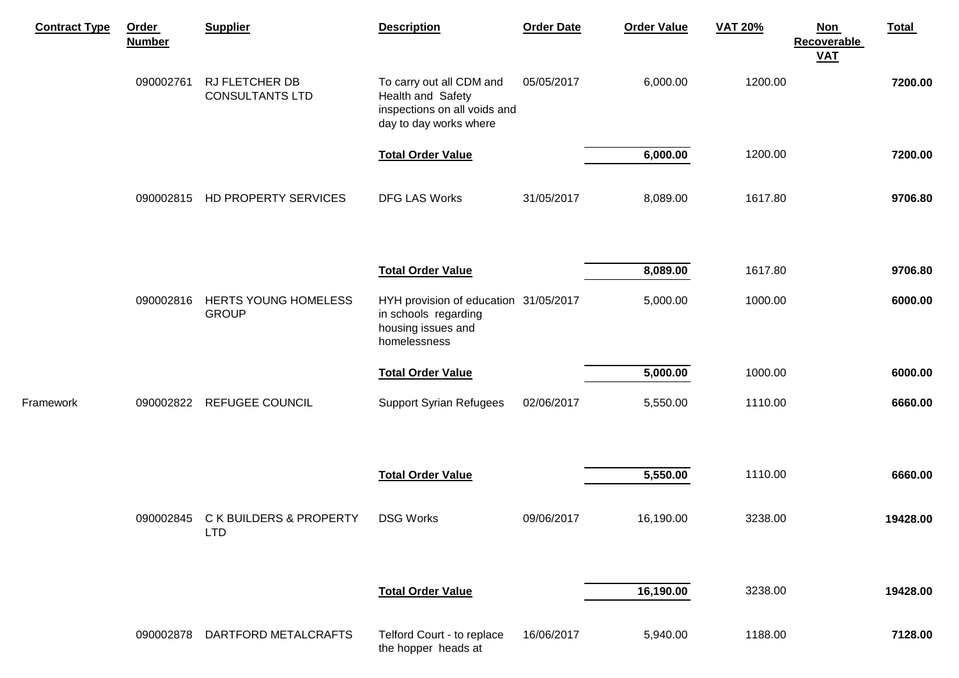| <b>Contract Type</b> | Order<br><b>Number</b> | <b>Supplier</b>                                 | <b>Description</b>                                                                                      | <b>Order Date</b> | <b>Order Value</b> | <b>VAT 20%</b> | <b>Non</b><br>Recoverable<br>$VAL$ | <b>Total</b> |
|----------------------|------------------------|-------------------------------------------------|---------------------------------------------------------------------------------------------------------|-------------------|--------------------|----------------|------------------------------------|--------------|
|                      | 090002761              | RJ FLETCHER DB<br><b>CONSULTANTS LTD</b>        | To carry out all CDM and<br>Health and Safety<br>inspections on all voids and<br>day to day works where | 05/05/2017        | 6,000.00           | 1200.00        |                                    | 7200.00      |
|                      |                        |                                                 | <b>Total Order Value</b>                                                                                |                   | 6,000.00           | 1200.00        |                                    | 7200.00      |
|                      | 090002815              | HD PROPERTY SERVICES                            | <b>DFG LAS Works</b>                                                                                    | 31/05/2017        | 8,089.00           | 1617.80        |                                    | 9706.80      |
|                      |                        |                                                 |                                                                                                         |                   |                    |                |                                    |              |
|                      |                        |                                                 | <b>Total Order Value</b>                                                                                |                   | $\sqrt{8,089.00}$  | 1617.80        |                                    | 9706.80      |
|                      | 090002816              | HERTS YOUNG HOMELESS<br><b>GROUP</b>            | HYH provision of education 31/05/2017<br>in schools regarding<br>housing issues and<br>homelessness     |                   | 5,000.00           | 1000.00        |                                    | 6000.00      |
|                      |                        |                                                 | <b>Total Order Value</b>                                                                                |                   | 5,000.00           | 1000.00        |                                    | 6000.00      |
| Framework            | 090002822              | <b>REFUGEE COUNCIL</b>                          | <b>Support Syrian Refugees</b>                                                                          | 02/06/2017        | 5,550.00           | 1110.00        |                                    | 6660.00      |
|                      |                        |                                                 |                                                                                                         |                   |                    |                |                                    |              |
|                      |                        |                                                 | <b>Total Order Value</b>                                                                                |                   | 5,550.00           | 1110.00        |                                    | 6660.00      |
|                      | 090002845              | <b>CK BUILDERS &amp; PROPERTY</b><br><b>LTD</b> | <b>DSG Works</b>                                                                                        | 09/06/2017        | 16,190.00          | 3238.00        |                                    | 19428.00     |
|                      |                        |                                                 |                                                                                                         |                   |                    |                |                                    |              |
|                      |                        |                                                 | <b>Total Order Value</b>                                                                                |                   | 16,190.00          | 3238.00        |                                    | 19428.00     |
|                      | 090002878              | DARTFORD METALCRAFTS                            | Telford Court - to replace<br>the hopper heads at                                                       | 16/06/2017        | 5,940.00           | 1188.00        |                                    | 7128.00      |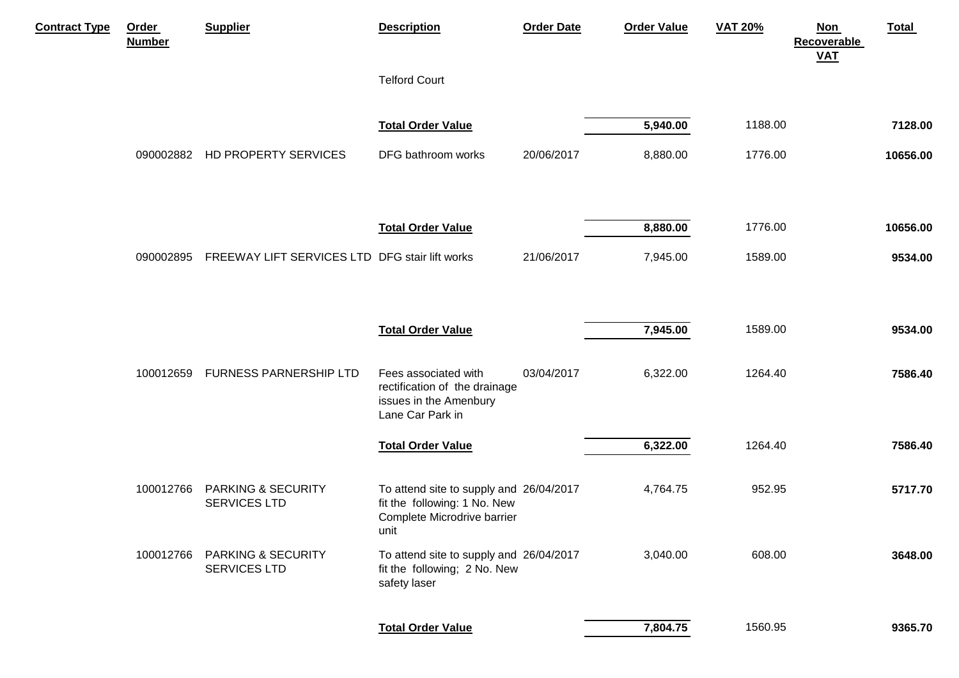| <b>Contract Type</b> | Order<br><b>Number</b> | <b>Supplier</b>                                      | <b>Description</b>                                                                                             | <b>Order Date</b> | <b>Order Value</b> | <b>VAT 20%</b> | <b>Total</b><br><b>Non</b><br><b>Recoverable</b><br><b>VAT</b> |
|----------------------|------------------------|------------------------------------------------------|----------------------------------------------------------------------------------------------------------------|-------------------|--------------------|----------------|----------------------------------------------------------------|
|                      |                        |                                                      | <b>Telford Court</b>                                                                                           |                   |                    |                |                                                                |
|                      |                        |                                                      | <b>Total Order Value</b>                                                                                       |                   | 5,940.00           | 1188.00        | 7128.00                                                        |
|                      | 090002882              | HD PROPERTY SERVICES                                 | DFG bathroom works                                                                                             | 20/06/2017        | 8,880.00           | 1776.00        | 10656.00                                                       |
|                      |                        |                                                      | <b>Total Order Value</b>                                                                                       |                   | 8,880.00           | 1776.00        | 10656.00                                                       |
|                      | 090002895              | FREEWAY LIFT SERVICES LTD DFG stair lift works       |                                                                                                                | 21/06/2017        | 7,945.00           | 1589.00        | 9534.00                                                        |
|                      |                        |                                                      | <b>Total Order Value</b>                                                                                       |                   | 7,945.00           | 1589.00        | 9534.00                                                        |
|                      | 100012659              | FURNESS PARNERSHIP LTD                               | Fees associated with<br>rectification of the drainage<br>issues in the Amenbury<br>Lane Car Park in            | 03/04/2017        | 6,322.00           | 1264.40        | 7586.40                                                        |
|                      |                        |                                                      | <b>Total Order Value</b>                                                                                       |                   | 6,322.00           | 1264.40        | 7586.40                                                        |
|                      | 100012766              | <b>PARKING &amp; SECURITY</b><br><b>SERVICES LTD</b> | To attend site to supply and 26/04/2017<br>fit the following: 1 No. New<br>Complete Microdrive barrier<br>unit |                   | 4,764.75           | 952.95         | 5717.70                                                        |
|                      | 100012766              | <b>PARKING &amp; SECURITY</b><br><b>SERVICES LTD</b> | To attend site to supply and 26/04/2017<br>fit the following; 2 No. New<br>safety laser                        |                   | 3,040.00           | 608.00         | 3648.00                                                        |
|                      |                        |                                                      | <b>Total Order Value</b>                                                                                       |                   | 7,804.75           | 1560.95        | 9365.70                                                        |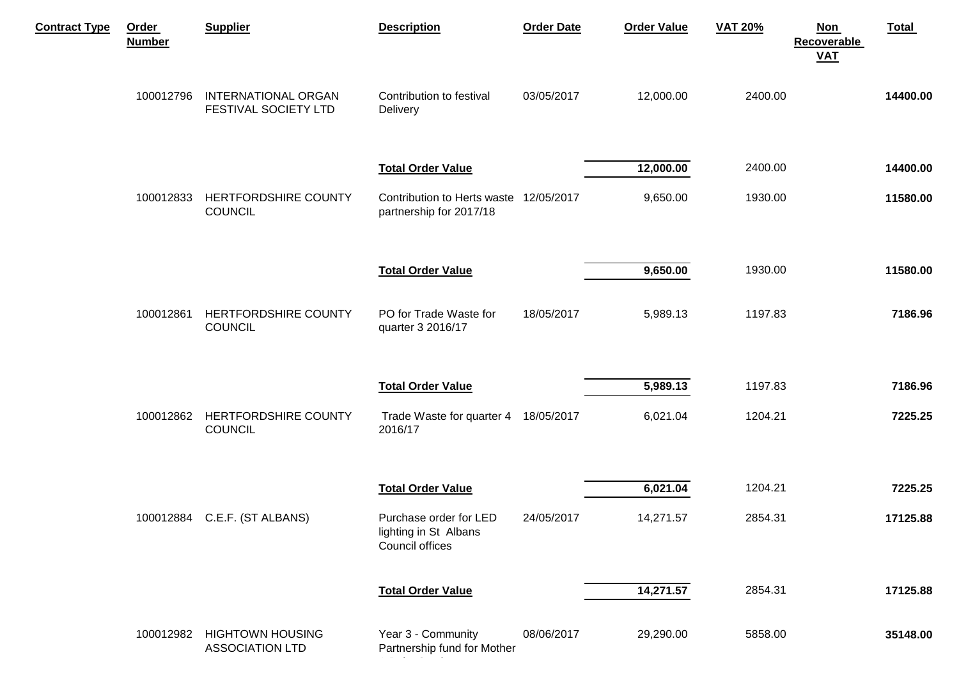| <b>Contract Type</b> | <b>Order</b><br><b>Number</b> | <b>Supplier</b>                                    | <b>Description</b>                                                 | <b>Order Date</b> | <b>Order Value</b> | <b>VAT 20%</b> | <b>Total</b><br><b>Non</b><br><b>Recoverable</b><br><b>VAT</b> |
|----------------------|-------------------------------|----------------------------------------------------|--------------------------------------------------------------------|-------------------|--------------------|----------------|----------------------------------------------------------------|
|                      | 100012796                     | <b>INTERNATIONAL ORGAN</b><br>FESTIVAL SOCIETY LTD | Contribution to festival<br>Delivery                               | 03/05/2017        | 12,000.00          | 2400.00        | 14400.00                                                       |
|                      |                               |                                                    | <b>Total Order Value</b>                                           |                   | 12,000.00          | 2400.00        | 14400.00                                                       |
|                      | 100012833                     | HERTFORDSHIRE COUNTY<br><b>COUNCIL</b>             | Contribution to Herts waste 12/05/2017<br>partnership for 2017/18  |                   | 9,650.00           | 1930.00        | 11580.00                                                       |
|                      |                               |                                                    | <b>Total Order Value</b>                                           |                   | 9,650.00           | 1930.00        | 11580.00                                                       |
|                      | 100012861                     | HERTFORDSHIRE COUNTY<br><b>COUNCIL</b>             | PO for Trade Waste for<br>quarter 3 2016/17                        | 18/05/2017        | 5,989.13           | 1197.83        | 7186.96                                                        |
|                      |                               |                                                    | <b>Total Order Value</b>                                           |                   | 5,989.13           | 1197.83        | 7186.96                                                        |
|                      | 100012862                     | HERTFORDSHIRE COUNTY<br><b>COUNCIL</b>             | Trade Waste for quarter 4 18/05/2017<br>2016/17                    |                   | 6,021.04           | 1204.21        | 7225.25                                                        |
|                      |                               |                                                    | <b>Total Order Value</b>                                           |                   | 6,021.04           | 1204.21        | 7225.25                                                        |
|                      |                               | 100012884 C.E.F. (ST ALBANS)                       | Purchase order for LED<br>lighting in St Albans<br>Council offices | 24/05/2017        | 14,271.57          | 2854.31        | 17125.88                                                       |
|                      |                               |                                                    | <b>Total Order Value</b>                                           |                   | 14,271.57          | 2854.31        | 17125.88                                                       |
|                      | 100012982                     | <b>HIGHTOWN HOUSING</b><br><b>ASSOCIATION LTD</b>  | Year 3 - Community<br>Partnership fund for Mother                  | 08/06/2017        | 29,290.00          | 5858.00        | 35148.00                                                       |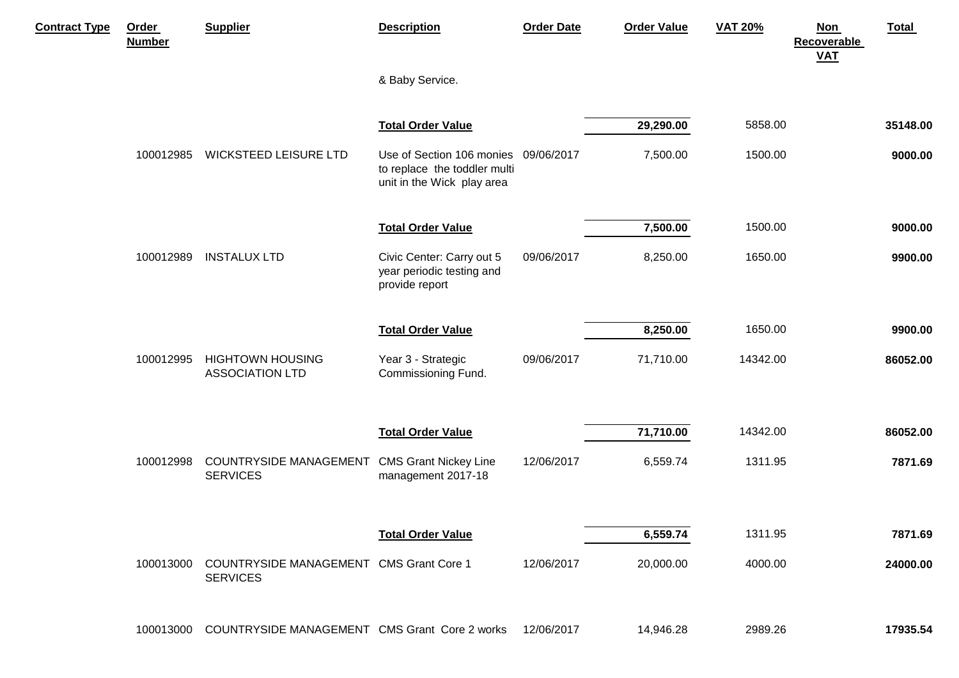| <b>Contract Type</b> | Order<br><b>Number</b> | <b>Supplier</b>                                            | <b>Description</b>                                                                                 | <b>Order Date</b> | <b>Order Value</b> | <b>VAT 20%</b> | <b>Total</b><br><b>Non</b><br><b>Recoverable</b><br><b>VAT</b> |
|----------------------|------------------------|------------------------------------------------------------|----------------------------------------------------------------------------------------------------|-------------------|--------------------|----------------|----------------------------------------------------------------|
|                      |                        |                                                            | & Baby Service.                                                                                    |                   |                    |                |                                                                |
|                      |                        |                                                            | <b>Total Order Value</b>                                                                           |                   | 29,290.00          | 5858.00        | 35148.00                                                       |
|                      | 100012985              | <b>WICKSTEED LEISURE LTD</b>                               | Use of Section 106 monies 09/06/2017<br>to replace the toddler multi<br>unit in the Wick play area |                   | 7,500.00           | 1500.00        | 9000.00                                                        |
|                      |                        |                                                            | <b>Total Order Value</b>                                                                           |                   | 7,500.00           | 1500.00        | 9000.00                                                        |
|                      | 100012989              | <b>INSTALUX LTD</b>                                        | Civic Center: Carry out 5<br>year periodic testing and<br>provide report                           | 09/06/2017        | 8,250.00           | 1650.00        | 9900.00                                                        |
|                      |                        |                                                            | <b>Total Order Value</b>                                                                           |                   | 8,250.00           | 1650.00        | 9900.00                                                        |
|                      | 100012995              | <b>HIGHTOWN HOUSING</b><br><b>ASSOCIATION LTD</b>          | Year 3 - Strategic<br>Commissioning Fund.                                                          | 09/06/2017        | 71,710.00          | 14342.00       | 86052.00                                                       |
|                      |                        |                                                            | <b>Total Order Value</b>                                                                           |                   | 71,710.00          | 14342.00       | 86052.00                                                       |
|                      | 100012998              | <b>COUNTRYSIDE MANAGEMENT</b><br><b>SERVICES</b>           | <b>CMS Grant Nickey Line</b><br>management 2017-18                                                 | 12/06/2017        | 6,559.74           | 1311.95        | 7871.69                                                        |
|                      |                        |                                                            | <b>Total Order Value</b>                                                                           |                   | 6,559.74           | 1311.95        | 7871.69                                                        |
|                      | 100013000              | COUNTRYSIDE MANAGEMENT CMS Grant Core 1<br><b>SERVICES</b> |                                                                                                    | 12/06/2017        | 20,000.00          | 4000.00        | 24000.00                                                       |
|                      | 100013000              | COUNTRYSIDE MANAGEMENT CMS Grant Core 2 works              |                                                                                                    | 12/06/2017        | 14,946.28          | 2989.26        | 17935.54                                                       |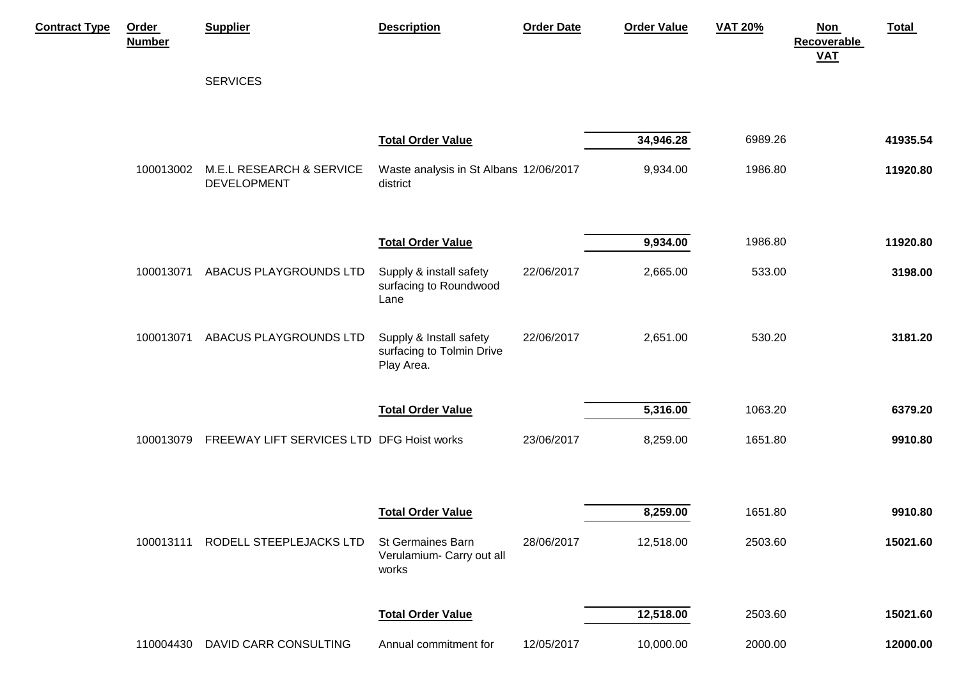| <b>Contract Type</b> | Order<br><b>Number</b> | <b>Supplier</b>                           | <b>Description</b>                                                 | <b>Order Date</b> | <b>Order Value</b>    | <b>VAT 20%</b>     | Total<br><b>Non</b><br><b>Recoverable</b><br><b>VAT</b> |
|----------------------|------------------------|-------------------------------------------|--------------------------------------------------------------------|-------------------|-----------------------|--------------------|---------------------------------------------------------|
|                      |                        | <b>SERVICES</b>                           |                                                                    |                   |                       |                    |                                                         |
|                      | 100013002              | <b>M.E.L RESEARCH &amp; SERVICE</b>       | <b>Total Order Value</b><br>Waste analysis in St Albans 12/06/2017 |                   | 34,946.28<br>9,934.00 | 6989.26<br>1986.80 | 41935.54<br>11920.80                                    |
|                      |                        | DEVELOPMENT                               | district                                                           |                   |                       |                    |                                                         |
|                      |                        |                                           | <b>Total Order Value</b>                                           |                   | 9,934.00              | 1986.80            | 11920.80                                                |
|                      | 100013071              | ABACUS PLAYGROUNDS LTD                    | Supply & install safety<br>surfacing to Roundwood<br>Lane          | 22/06/2017        | 2,665.00              | 533.00             | 3198.00                                                 |
|                      | 100013071              | ABACUS PLAYGROUNDS LTD                    | Supply & Install safety<br>surfacing to Tolmin Drive<br>Play Area. | 22/06/2017        | 2,651.00              | 530.20             | 3181.20                                                 |
|                      |                        |                                           | <b>Total Order Value</b>                                           |                   | 5,316.00              | 1063.20            | 6379.20                                                 |
|                      | 100013079              | FREEWAY LIFT SERVICES LTD DFG Hoist works |                                                                    | 23/06/2017        | 8,259.00              | 1651.80            | 9910.80                                                 |
|                      |                        |                                           | <b>Total Order Value</b>                                           |                   | 8,259.00              | 1651.80            | 9910.80                                                 |
|                      |                        |                                           |                                                                    |                   |                       |                    |                                                         |
|                      |                        | 100013111 RODELL STEEPLEJACKS LTD         | <b>St Germaines Barn</b><br>Verulamium- Carry out all<br>works     | 28/06/2017        | 12,518.00             | 2503.60            | 15021.60                                                |
|                      |                        |                                           | <b>Total Order Value</b>                                           |                   | 12,518.00             | 2503.60            | 15021.60                                                |
|                      |                        | 110004430 DAVID CARR CONSULTING           | Annual commitment for                                              | 12/05/2017        | 10,000.00             | 2000.00            | 12000.00                                                |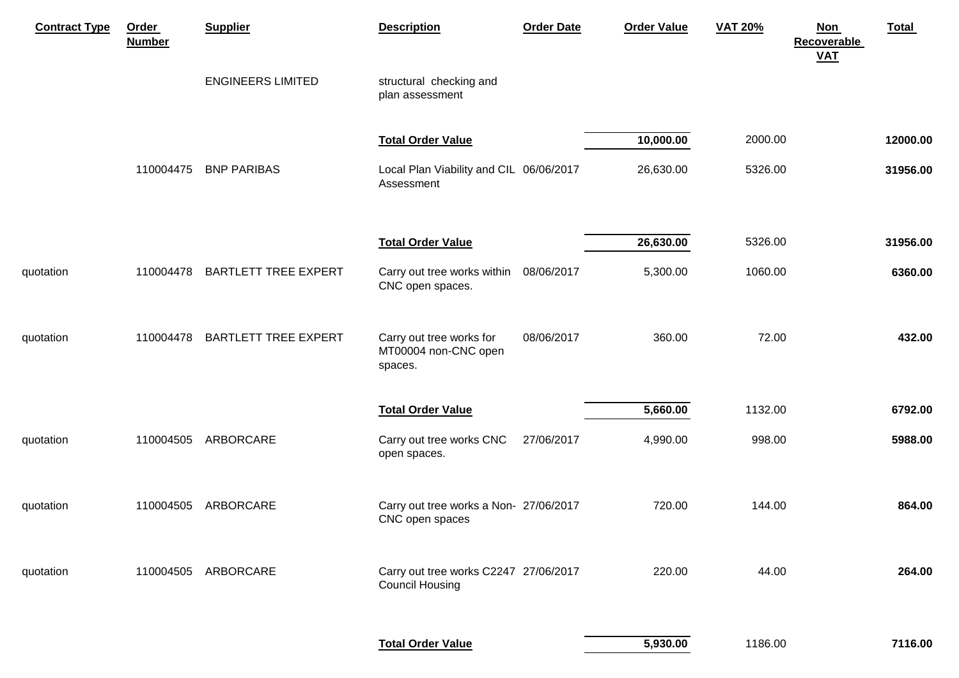| <b>Contract Type</b> | Order<br><b>Number</b> | <b>Supplier</b>             | <b>Description</b>                                              | <b>Order Date</b> | <b>Order Value</b> | <b>VAT 20%</b> | <b>Total</b><br><b>Non</b><br><b>Recoverable</b><br><b>VAT</b> |         |
|----------------------|------------------------|-----------------------------|-----------------------------------------------------------------|-------------------|--------------------|----------------|----------------------------------------------------------------|---------|
|                      |                        | <b>ENGINEERS LIMITED</b>    | structural checking and<br>plan assessment                      |                   |                    |                |                                                                |         |
|                      |                        |                             | <b>Total Order Value</b>                                        |                   | 10,000.00          | 2000.00        | 12000.00                                                       |         |
|                      | 110004475              | <b>BNP PARIBAS</b>          | Local Plan Viability and CIL 06/06/2017<br>Assessment           |                   | 26,630.00          | 5326.00        | 31956.00                                                       |         |
|                      |                        |                             | <b>Total Order Value</b>                                        |                   | 26,630.00          | 5326.00        | 31956.00                                                       |         |
| quotation            | 110004478              | <b>BARTLETT TREE EXPERT</b> | Carry out tree works within 08/06/2017<br>CNC open spaces.      |                   | 5,300.00           | 1060.00        |                                                                | 6360.00 |
| quotation            | 110004478              | <b>BARTLETT TREE EXPERT</b> | Carry out tree works for<br>MT00004 non-CNC open<br>spaces.     | 08/06/2017        | 360.00             | 72.00          |                                                                | 432.00  |
|                      |                        |                             | <b>Total Order Value</b>                                        |                   | 5,660.00           | 1132.00        |                                                                | 6792.00 |
| quotation            | 110004505              | ARBORCARE                   | Carry out tree works CNC<br>open spaces.                        | 27/06/2017        | 4,990.00           | 998.00         |                                                                | 5988.00 |
| quotation            | 110004505              | ARBORCARE                   | Carry out tree works a Non- 27/06/2017<br>CNC open spaces       |                   | 720.00             | 144.00         |                                                                | 864.00  |
| quotation            | 110004505              | ARBORCARE                   | Carry out tree works C2247 27/06/2017<br><b>Council Housing</b> |                   | 220.00             | 44.00          |                                                                | 264.00  |
|                      |                        |                             | <b>Total Order Value</b>                                        |                   | 5,930.00           | 1186.00        |                                                                | 7116.00 |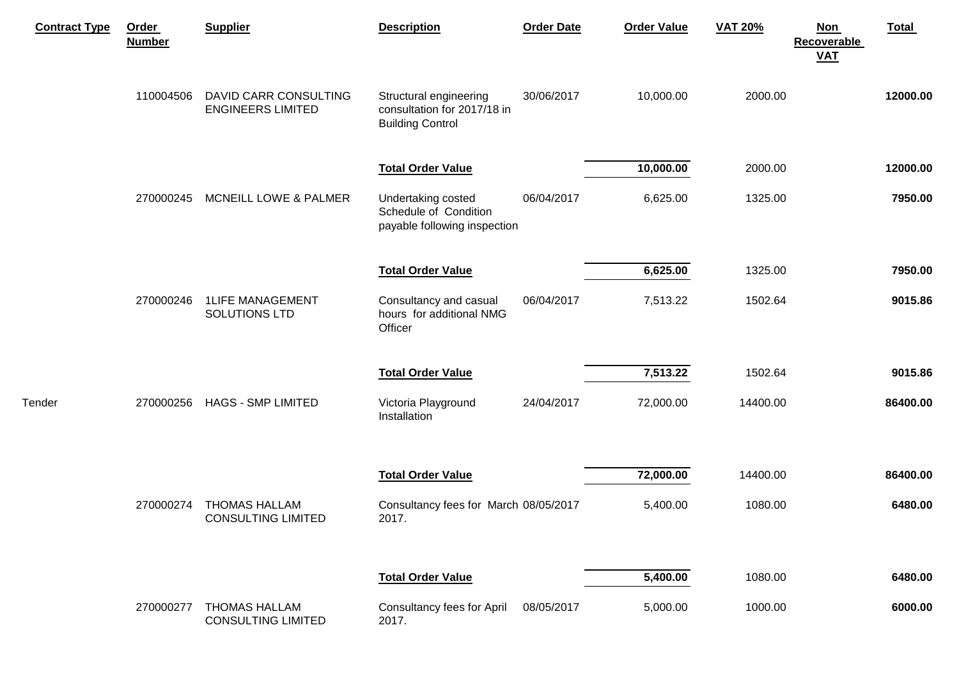| <b>Contract Type</b> | <b>Order</b><br><b>Number</b> | <b>Supplier</b>                                   | <b>Description</b>                                                               | <b>Order Date</b> | <b>Order Value</b> | <b>VAT 20%</b> | Total<br><b>Non</b><br>Recoverable<br><b>VAT</b> |
|----------------------|-------------------------------|---------------------------------------------------|----------------------------------------------------------------------------------|-------------------|--------------------|----------------|--------------------------------------------------|
|                      | 110004506                     | DAVID CARR CONSULTING<br><b>ENGINEERS LIMITED</b> | Structural engineering<br>consultation for 2017/18 in<br><b>Building Control</b> | 30/06/2017        | 10,000.00          | 2000.00        | 12000.00                                         |
|                      |                               |                                                   | <b>Total Order Value</b>                                                         |                   | 10,000.00          | 2000.00        | 12000.00                                         |
|                      | 270000245                     | MCNEILL LOWE & PALMER                             | Undertaking costed<br>Schedule of Condition<br>payable following inspection      | 06/04/2017        | 6,625.00           | 1325.00        | 7950.00                                          |
|                      |                               |                                                   | <b>Total Order Value</b>                                                         |                   | 6,625.00           | 1325.00        | 7950.00                                          |
|                      | 270000246                     | <b>1LIFE MANAGEMENT</b><br>SOLUTIONS LTD          | Consultancy and casual<br>hours for additional NMG<br>Officer                    | 06/04/2017        | 7,513.22           | 1502.64        | 9015.86                                          |
|                      |                               |                                                   | <b>Total Order Value</b>                                                         |                   | 7,513.22           | 1502.64        | 9015.86                                          |
| Tender               | 270000256                     | <b>HAGS - SMP LIMITED</b>                         | Victoria Playground<br>Installation                                              | 24/04/2017        | 72,000.00          | 14400.00       | 86400.00                                         |
|                      |                               |                                                   | <b>Total Order Value</b>                                                         |                   | 72,000.00          | 14400.00       | 86400.00                                         |
|                      | 270000274                     | <b>THOMAS HALLAM</b><br><b>CONSULTING LIMITED</b> | Consultancy fees for March 08/05/2017<br>2017.                                   |                   | 5,400.00           | 1080.00        | 6480.00                                          |
|                      |                               |                                                   | <b>Total Order Value</b>                                                         |                   | 5,400.00           | 1080.00        | 6480.00                                          |
|                      | 270000277                     | <b>THOMAS HALLAM</b><br><b>CONSULTING LIMITED</b> | Consultancy fees for April<br>2017.                                              | 08/05/2017        | 5,000.00           | 1000.00        | 6000.00                                          |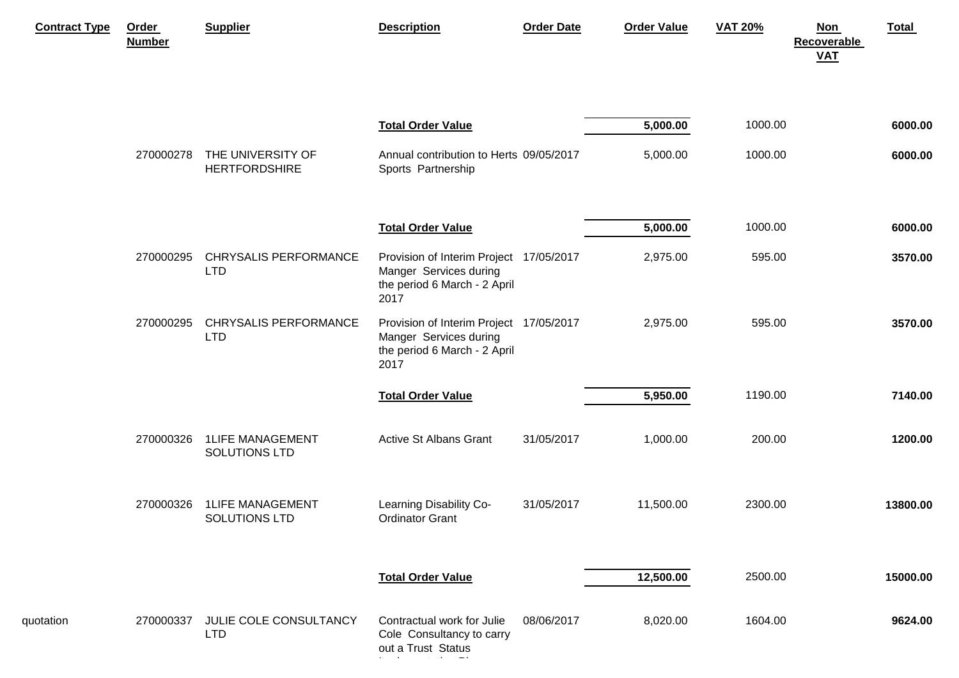| <b>Contract Type</b> | <b>Order</b><br><b>Number</b> | <b>Supplier</b>                            | <b>Description</b>                                                                                        | <b>Order Date</b> | <b>Order Value</b> | <b>VAT 20%</b> | Total<br><b>Non</b><br><b>Recoverable</b><br><b>VAT</b> |
|----------------------|-------------------------------|--------------------------------------------|-----------------------------------------------------------------------------------------------------------|-------------------|--------------------|----------------|---------------------------------------------------------|
|                      |                               |                                            | <b>Total Order Value</b>                                                                                  |                   | 5,000.00           | 1000.00        | 6000.00                                                 |
|                      | 270000278                     | THE UNIVERSITY OF<br><b>HERTFORDSHIRE</b>  | Annual contribution to Herts 09/05/2017<br>Sports Partnership                                             |                   | 5,000.00           | 1000.00        | 6000.00                                                 |
|                      |                               |                                            | <b>Total Order Value</b>                                                                                  |                   | 5,000.00           | 1000.00        | 6000.00                                                 |
|                      | 270000295                     | <b>CHRYSALIS PERFORMANCE</b><br><b>LTD</b> | Provision of Interim Project 17/05/2017<br>Manger Services during<br>the period 6 March - 2 April<br>2017 |                   | 2,975.00           | 595.00         | 3570.00                                                 |
|                      | 270000295                     | <b>CHRYSALIS PERFORMANCE</b><br><b>LTD</b> | Provision of Interim Project 17/05/2017<br>Manger Services during<br>the period 6 March - 2 April<br>2017 |                   | 2,975.00           | 595.00         | 3570.00                                                 |
|                      |                               |                                            | <b>Total Order Value</b>                                                                                  |                   | 5,950.00           | 1190.00        | 7140.00                                                 |
|                      | 270000326                     | <b>1LIFE MANAGEMENT</b><br>SOLUTIONS LTD   | <b>Active St Albans Grant</b>                                                                             | 31/05/2017        | 1,000.00           | 200.00         | 1200.00                                                 |
|                      | 270000326                     | <b>1LIFE MANAGEMENT</b><br>SOLUTIONS LTD   | Learning Disability Co-<br><b>Ordinator Grant</b>                                                         | 31/05/2017        | 11,500.00          | 2300.00        | 13800.00                                                |
|                      |                               |                                            | <b>Total Order Value</b>                                                                                  |                   | 12,500.00          | 2500.00        | 15000.00                                                |
| quotation            | 270000337                     | JULIE COLE CONSULTANCY<br><b>LTD</b>       | Contractual work for Julie<br>Cole Consultancy to carry<br>out a Trust Status                             | 08/06/2017        | 8,020.00           | 1604.00        | 9624.00                                                 |